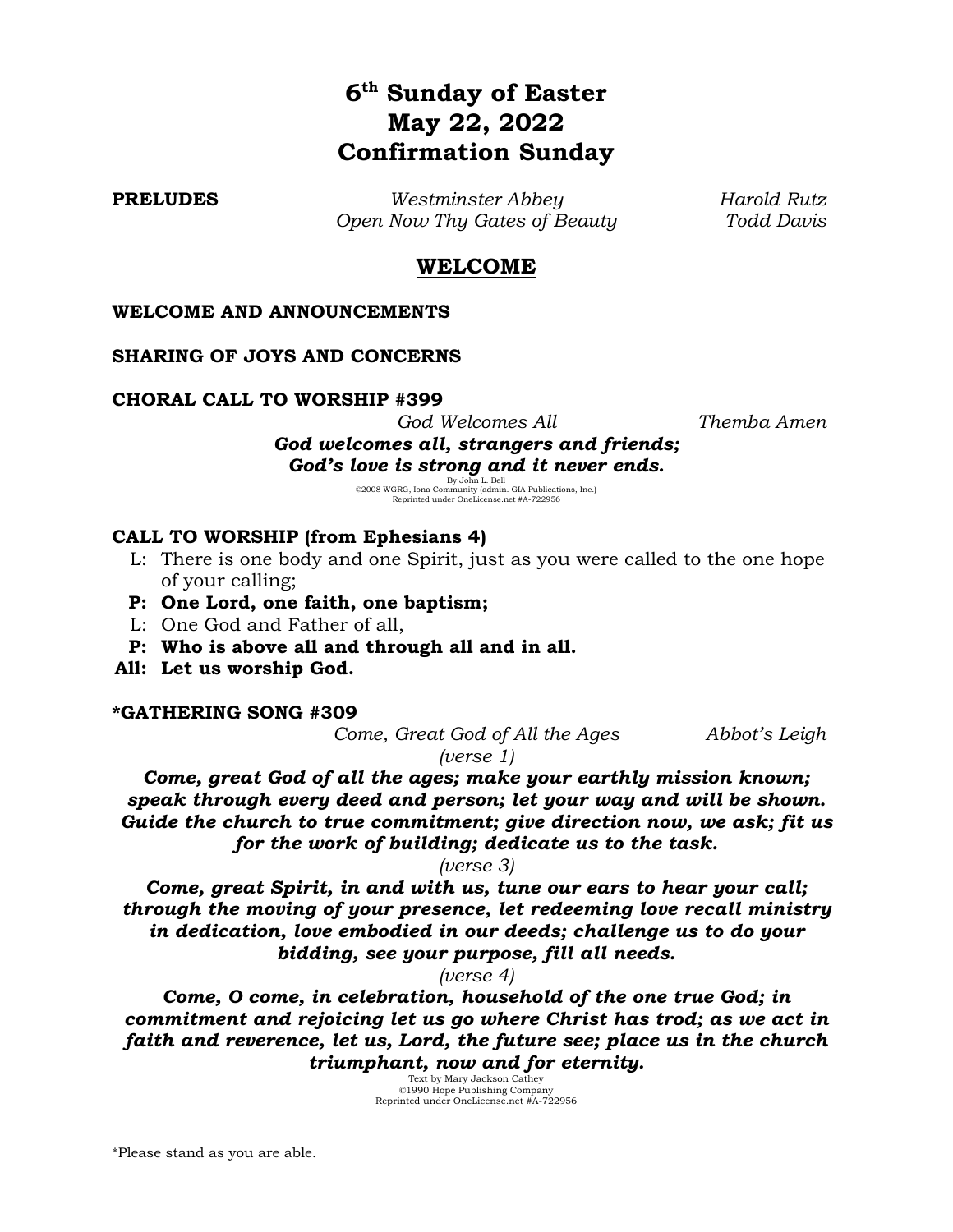# **6 th Sunday of Easter May 22, 2022 Confirmation Sunday**

**PRELUDES** *Westminster Abbey Harold Rutz Open Now Thy Gates of Beauty Todd Davis*

# **WELCOME**

### **WELCOME AND ANNOUNCEMENTS**

#### **SHARING OF JOYS AND CONCERNS**

#### **CHORAL CALL TO WORSHIP #399**

*God Welcomes All Themba Amen*

*God welcomes all, strangers and friends;*  God's love is strong and it never ends.<br>
<sup>By John L. Bell<br>
©2008 WGRG, Iona Community (admin. GIA Publications, Inc.)<br>
Reprinted under OneLicense.net #A-7229566</sup>

#### **CALL TO WORSHIP (from Ephesians 4)**

- L: There is one body and one Spirit, just as you were called to the one hope of your calling;
- **P: One Lord, one faith, one baptism;**
- L: One God and Father of all,
- **P: Who is above all and through all and in all.**
- **All: Let us worship God.**

#### **\*GATHERING SONG #309**

*Come, Great God of All the Ages Abbot's Leigh*

*(verse 1)*

*Come, great God of all the ages; make your earthly mission known; speak through every deed and person; let your way and will be shown. Guide the church to true commitment; give direction now, we ask; fit us for the work of building; dedicate us to the task.*

*(verse 3)*

*Come, great Spirit, in and with us, tune our ears to hear your call; through the moving of your presence, let redeeming love recall ministry in dedication, love embodied in our deeds; challenge us to do your bidding, see your purpose, fill all needs.*

*(verse 4)*

*Come, O come, in celebration, household of the one true God; in commitment and rejoicing let us go where Christ has trod; as we act in faith and reverence, let us, Lord, the future see; place us in the church triumphant, now and for eternity.*

Text by Mary Jackson Cathey ©1990 Hope Publishing Company Reprinted under OneLicense.net #A-722956

\*Please stand as you are able.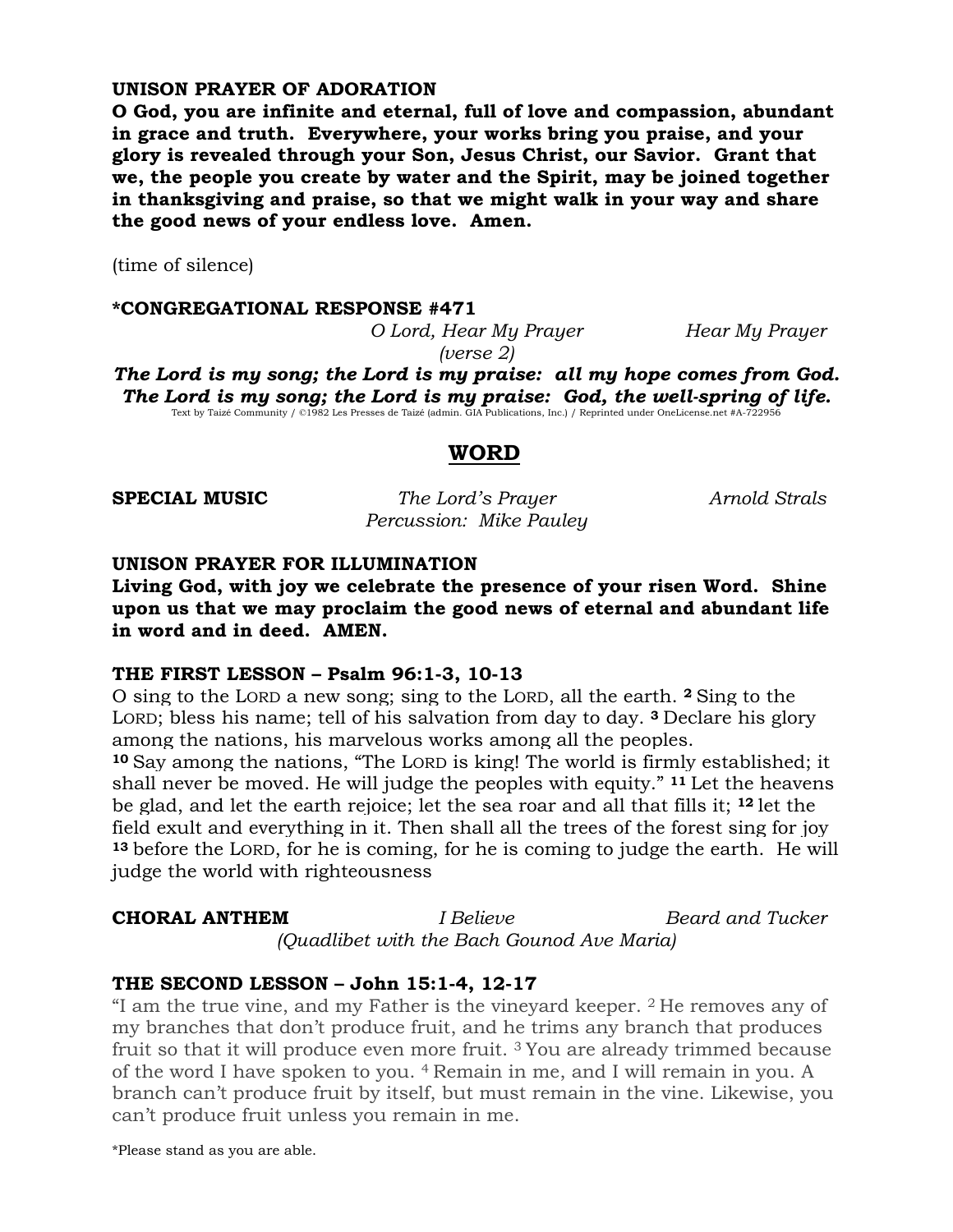# **UNISON PRAYER OF ADORATION**

**O God, you are infinite and eternal, full of love and compassion, abundant in grace and truth. Everywhere, your works bring you praise, and your glory is revealed through your Son, Jesus Christ, our Savior. Grant that we, the people you create by water and the Spirit, may be joined together in thanksgiving and praise, so that we might walk in your way and share the good news of your endless love. Amen.**

(time of silence)

#### **\*CONGREGATIONAL RESPONSE #471**

*O Lord, Hear My Prayer Hear My Prayer (verse 2)*

*The Lord is my song; the Lord is my praise: all my hope comes from God.*  The Lord is my song; the Lord is my praise: God, the well-spring of life.<br>Text by Taizé Community / ©1982 Les Presses de Taizé (admin. GIA Publications, Inc.) / Reprinted under OneLicense.net #A-722956

### **WORD**

**SPECIAL MUSIC** *The Lord's Prayer Arnold Strals Percussion: Mike Pauley*

### **UNISON PRAYER FOR ILLUMINATION**

**Living God, with joy we celebrate the presence of your risen Word. Shine upon us that we may proclaim the good news of eternal and abundant life in word and in deed. AMEN.**

### **THE FIRST LESSON – Psalm 96:1-3, 10-13**

O sing to the LORD a new song; sing to the LORD, all the earth. **<sup>2</sup>** Sing to the LORD; bless his name; tell of his salvation from day to day. **<sup>3</sup>** Declare his glory among the nations, his marvelous works among all the peoples. **<sup>10</sup>**Say among the nations, "The LORD is king! The world is firmly established; it shall never be moved. He will judge the peoples with equity." **<sup>11</sup>** Let the heavens be glad, and let the earth rejoice; let the sea roar and all that fills it; **<sup>12</sup>** let the field exult and everything in it. Then shall all the trees of the forest sing for joy **<sup>13</sup>** before the LORD, for he is coming, for he is coming to judge the earth. He will judge the world with righteousness

**CHORAL ANTHEM** *I Believe Beard and Tucker (Quadlibet with the Bach Gounod Ave Maria)*

# **THE SECOND LESSON – John 15:1-4, 12-17**

"I am the true vine, and my Father is the vineyard keeper. <sup>2</sup> He removes any of my branches that don't produce fruit, and he trims any branch that produces fruit so that it will produce even more fruit. <sup>3</sup> You are already trimmed because of the word I have spoken to you. <sup>4</sup> Remain in me, and I will remain in you. A branch can't produce fruit by itself, but must remain in the vine. Likewise, you can't produce fruit unless you remain in me.

\*Please stand as you are able.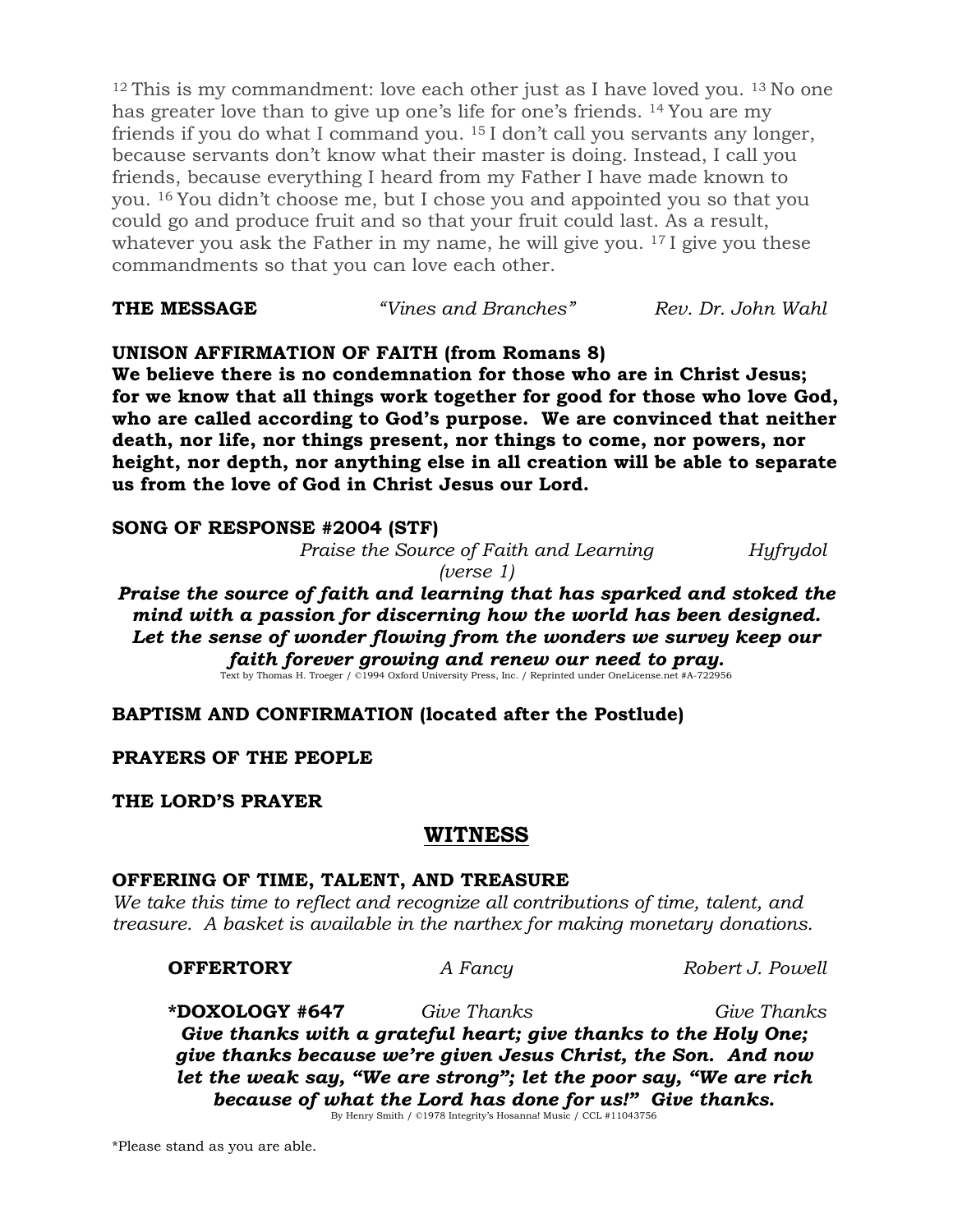<sup>12</sup> This is my commandment: love each other just as I have loved you. <sup>13</sup> No one has greater love than to give up one's life for one's friends. <sup>14</sup> You are my friends if you do what I command you. <sup>15</sup> I don't call you servants any longer, because servants don't know what their master is doing. Instead, I call you friends, because everything I heard from my Father I have made known to you. <sup>16</sup> You didn't choose me, but I chose you and appointed you so that you could go and produce fruit and so that your fruit could last. As a result, whatever you ask the Father in my name, he will give you. <sup>17</sup> I give you these commandments so that you can love each other.

| THE MESSAGE | "Vines and Branches" | Rev. Dr. John Wahl |
|-------------|----------------------|--------------------|
|             |                      |                    |

# **UNISON AFFIRMATION OF FAITH (from Romans 8)**

**We believe there is no condemnation for those who are in Christ Jesus; for we know that all things work together for good for those who love God, who are called according to God's purpose. We are convinced that neither death, nor life, nor things present, nor things to come, nor powers, nor height, nor depth, nor anything else in all creation will be able to separate us from the love of God in Christ Jesus our Lord.**

# **SONG OF RESPONSE #2004 (STF)**

*Praise the Source of Faith and Learning Hyfrydol*

*(verse 1)*

*Praise the source of faith and learning that has sparked and stoked the mind with a passion for discerning how the world has been designed. Let the sense of wonder flowing from the wonders we survey keep our faith forever growing and renew our need to pray.*<br>Text by Thomas H. Troeger / ©1994 Oxford University Press, Inc. / Reprinted under OneLicense.net #A-722956

# **BAPTISM AND CONFIRMATION (located after the Postlude)**

# **PRAYERS OF THE PEOPLE**

# **THE LORD'S PRAYER**

# **WITNESS**

# **OFFERING OF TIME, TALENT, AND TREASURE**

*We take this time to reflect and recognize all contributions of time, talent, and treasure. A basket is available in the narthex for making monetary donations.*

### **OFFERTORY** *A Fancy Robert J. Powell*

**\*DOXOLOGY #647** *Give Thanks Give Thanks Give thanks with a grateful heart; give thanks to the Holy One; give thanks because we're given Jesus Christ, the Son. And now let the weak say, "We are strong"; let the poor say, "We are rich because of what the Lord has done for us!" Give thanks.* By Henry Smith / ©1978 Integrity's Hosanna! Music / CCL #11043756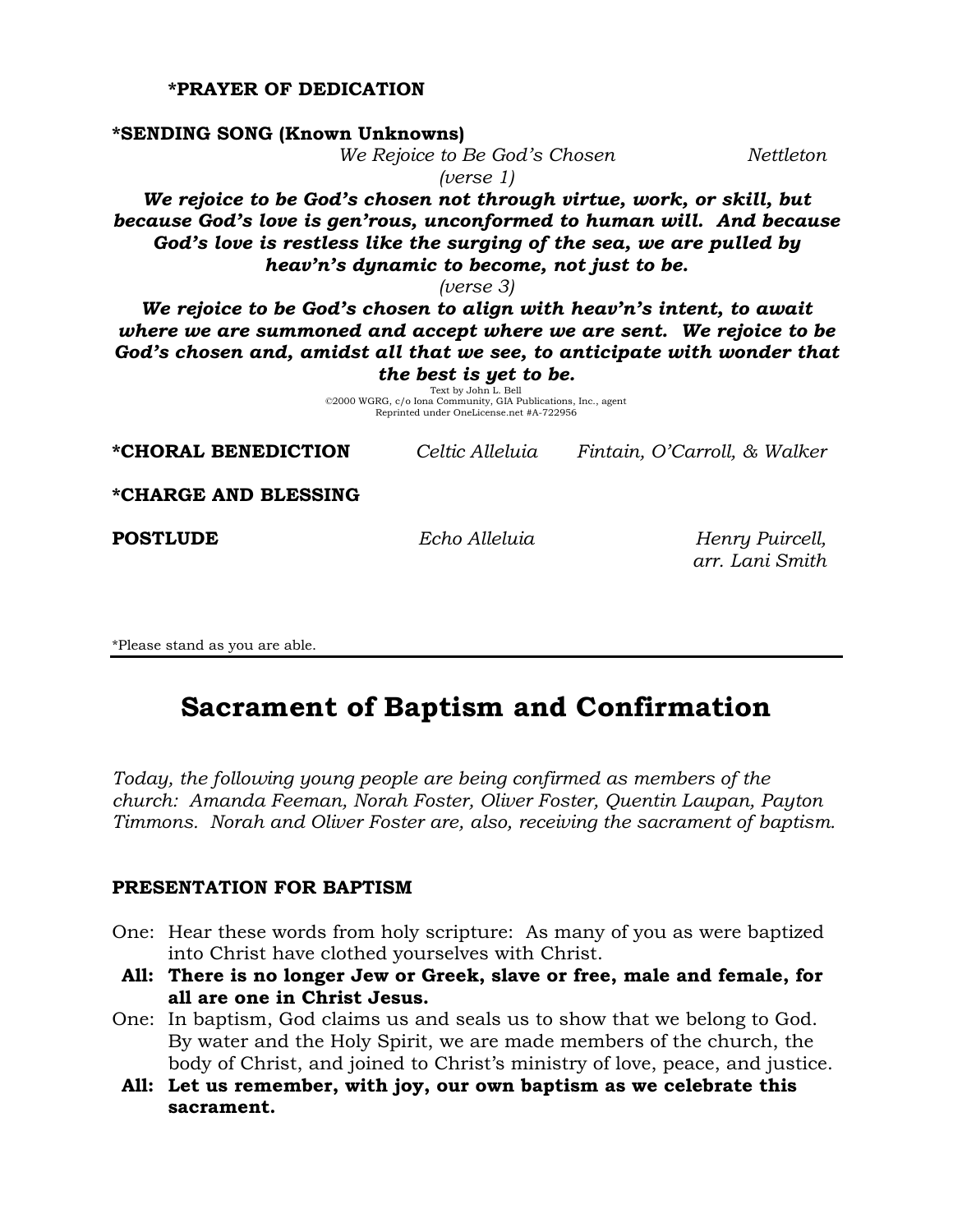### **\*PRAYER OF DEDICATION**

**\*SENDING SONG (Known Unknowns)**

|                                                                                                                                               | We Rejoice to Be God's Chosen                                                                                                                               |                                    | Nettleton |
|-----------------------------------------------------------------------------------------------------------------------------------------------|-------------------------------------------------------------------------------------------------------------------------------------------------------------|------------------------------------|-----------|
|                                                                                                                                               | ( <i>verse</i> $1$ )                                                                                                                                        |                                    |           |
| We rejoice to be God's chosen not through virtue, work, or skill, but                                                                         |                                                                                                                                                             |                                    |           |
| because God's love is gen'rous, unconformed to human will. And because                                                                        |                                                                                                                                                             |                                    |           |
| God's love is restless like the surging of the sea, we are pulled by                                                                          |                                                                                                                                                             |                                    |           |
|                                                                                                                                               | heav'n's dynamic to become, not just to be.                                                                                                                 |                                    |           |
|                                                                                                                                               | ( <i>verse</i> 3)                                                                                                                                           |                                    |           |
| We rejoice to be God's chosen to align with heav'n's intent, to await<br>where we are summoned and accept where we are sent. We rejoice to be |                                                                                                                                                             |                                    |           |
| God's chosen and, amidst all that we see, to anticipate with wonder that                                                                      |                                                                                                                                                             |                                    |           |
|                                                                                                                                               | the best is yet to be.<br>Text by John L. Bell<br>©2000 WGRG, c/o Iona Community, GIA Publications, Inc., agent<br>Reprinted under OneLicense.net #A-722956 |                                    |           |
| *CHORAL BENEDICTION                                                                                                                           | Celtic Alleluia                                                                                                                                             | Fintain, O'Carroll, & Walker       |           |
| *CHARGE AND BLESSING                                                                                                                          |                                                                                                                                                             |                                    |           |
| <b>POSTLUDE</b>                                                                                                                               | Echo Alleluia                                                                                                                                               | Henry Puircell,<br>arr. Lani Smith |           |

\*Please stand as you are able.

# **Sacrament of Baptism and Confirmation**

*Today, the following young people are being confirmed as members of the church: Amanda Feeman, Norah Foster, Oliver Foster, Quentin Laupan, Payton Timmons. Norah and Oliver Foster are, also, receiving the sacrament of baptism.*

#### **PRESENTATION FOR BAPTISM**

- One: Hear these words from holy scripture: As many of you as were baptized into Christ have clothed yourselves with Christ.
- **All: There is no longer Jew or Greek, slave or free, male and female, for all are one in Christ Jesus.**
- One: In baptism, God claims us and seals us to show that we belong to God. By water and the Holy Spirit, we are made members of the church, the body of Christ, and joined to Christ's ministry of love, peace, and justice.
- **All: Let us remember, with joy, our own baptism as we celebrate this sacrament.**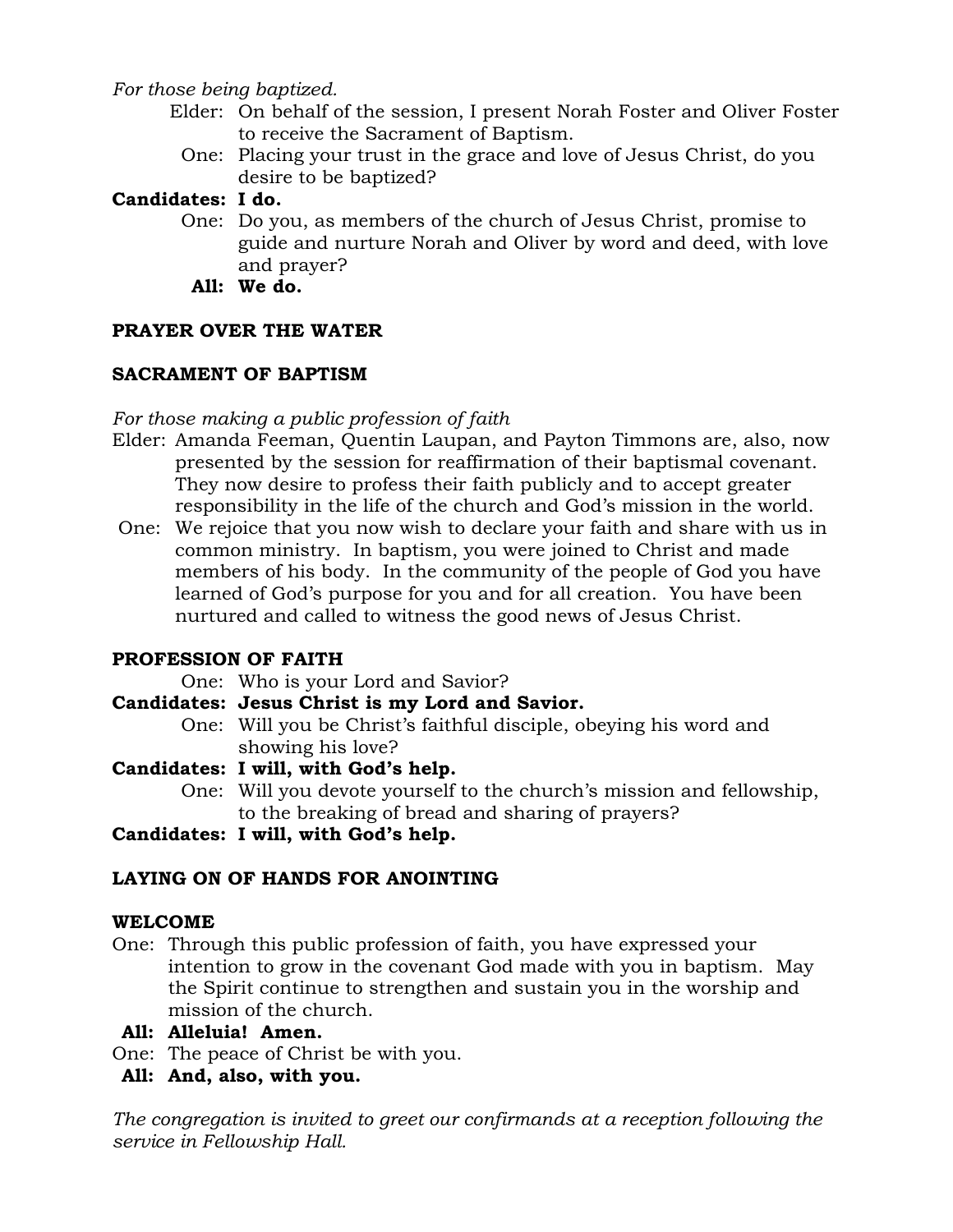*For those being baptized.*

- Elder: On behalf of the session, I present Norah Foster and Oliver Foster to receive the Sacrament of Baptism.
	- One: Placing your trust in the grace and love of Jesus Christ, do you desire to be baptized?

# **Candidates: I do.**

- One: Do you, as members of the church of Jesus Christ, promise to guide and nurture Norah and Oliver by word and deed, with love and prayer?
	- **All: We do.**

# **PRAYER OVER THE WATER**

# **SACRAMENT OF BAPTISM**

# *For those making a public profession of faith*

- Elder: Amanda Feeman, Quentin Laupan, and Payton Timmons are, also, now presented by the session for reaffirmation of their baptismal covenant. They now desire to profess their faith publicly and to accept greater responsibility in the life of the church and God's mission in the world.
- One: We rejoice that you now wish to declare your faith and share with us in common ministry. In baptism, you were joined to Christ and made members of his body. In the community of the people of God you have learned of God's purpose for you and for all creation. You have been nurtured and called to witness the good news of Jesus Christ.

# **PROFESSION OF FAITH**

One: Who is your Lord and Savior?

**Candidates: Jesus Christ is my Lord and Savior.**

One: Will you be Christ's faithful disciple, obeying his word and showing his love?

# **Candidates: I will, with God's help.**

One: Will you devote yourself to the church's mission and fellowship, to the breaking of bread and sharing of prayers?

**Candidates: I will, with God's help.**

# **LAYING ON OF HANDS FOR ANOINTING**

# **WELCOME**

One: Through this public profession of faith, you have expressed your intention to grow in the covenant God made with you in baptism. May the Spirit continue to strengthen and sustain you in the worship and mission of the church.

# **All: Alleluia! Amen.**

One: The peace of Christ be with you.

# **All: And, also, with you.**

*The congregation is invited to greet our confirmands at a reception following the service in Fellowship Hall.*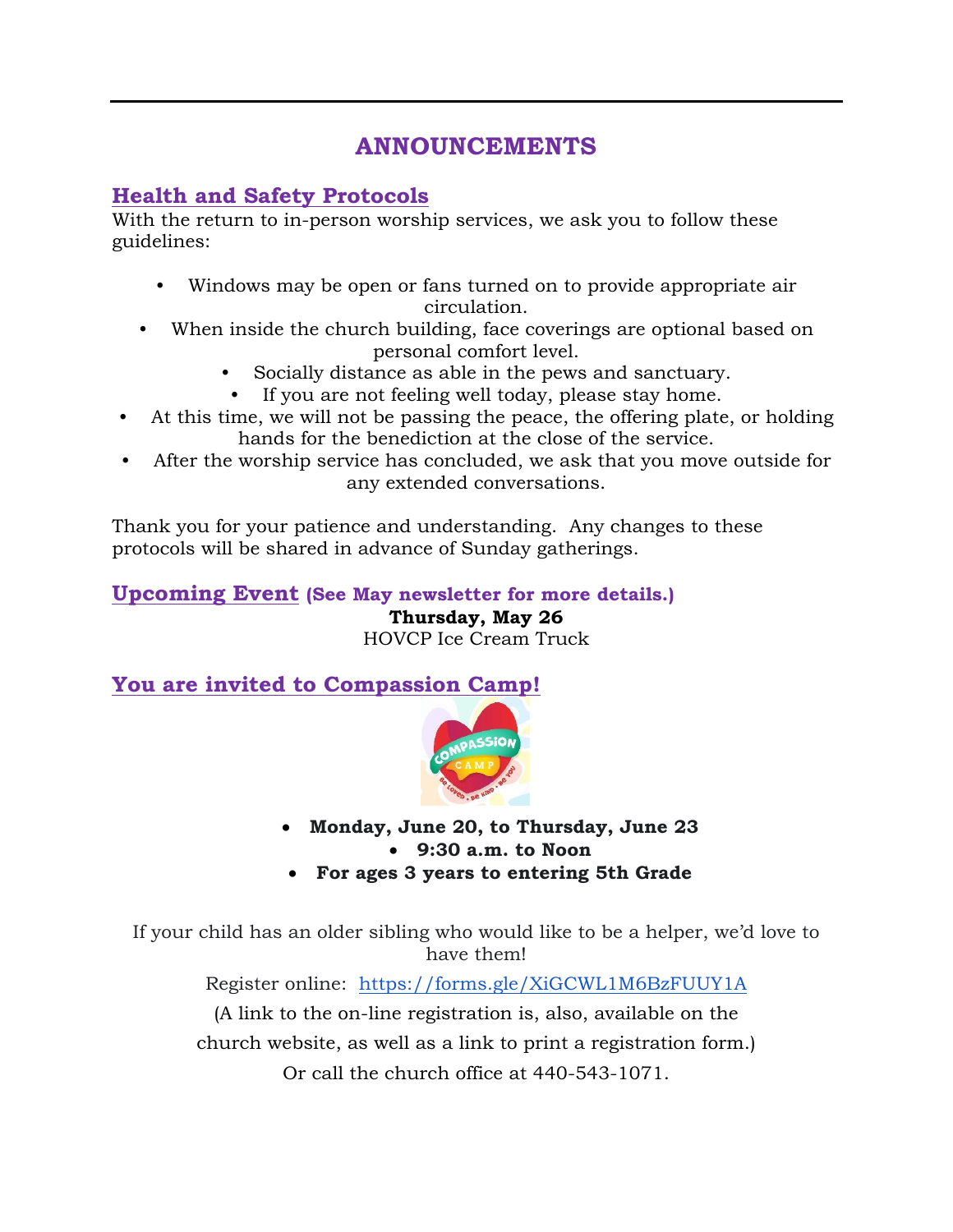# **ANNOUNCEMENTS**

# **Health and Safety Protocols**

With the return to in-person worship services, we ask you to follow these guidelines:

- Windows may be open or fans turned on to provide appropriate air circulation.
- When inside the church building, face coverings are optional based on personal comfort level.
	- Socially distance as able in the pews and sanctuary.
	- If you are not feeling well today, please stay home.
- At this time, we will not be passing the peace, the offering plate, or holding hands for the benediction at the close of the service.
- After the worship service has concluded, we ask that you move outside for any extended conversations.

Thank you for your patience and understanding. Any changes to these protocols will be shared in advance of Sunday gatherings.

# **Upcoming Event (See May newsletter for more details.) Thursday, May 26** HOVCP Ice Cream Truck

**You are invited to Compassion Camp!**



- **Monday, June 20, to Thursday, June 23 9:30 a.m. to Noon**
- **For ages 3 years to entering 5th Grade**

If your child has an older sibling who would like to be a helper, we'd love to have them!

Register online: <https://forms.gle/XiGCWL1M6BzFUUY1A>

(A link to the on-line registration is, also, available on the church website, as well as a link to print a registration form.)

Or call the church office at 440-543-1071.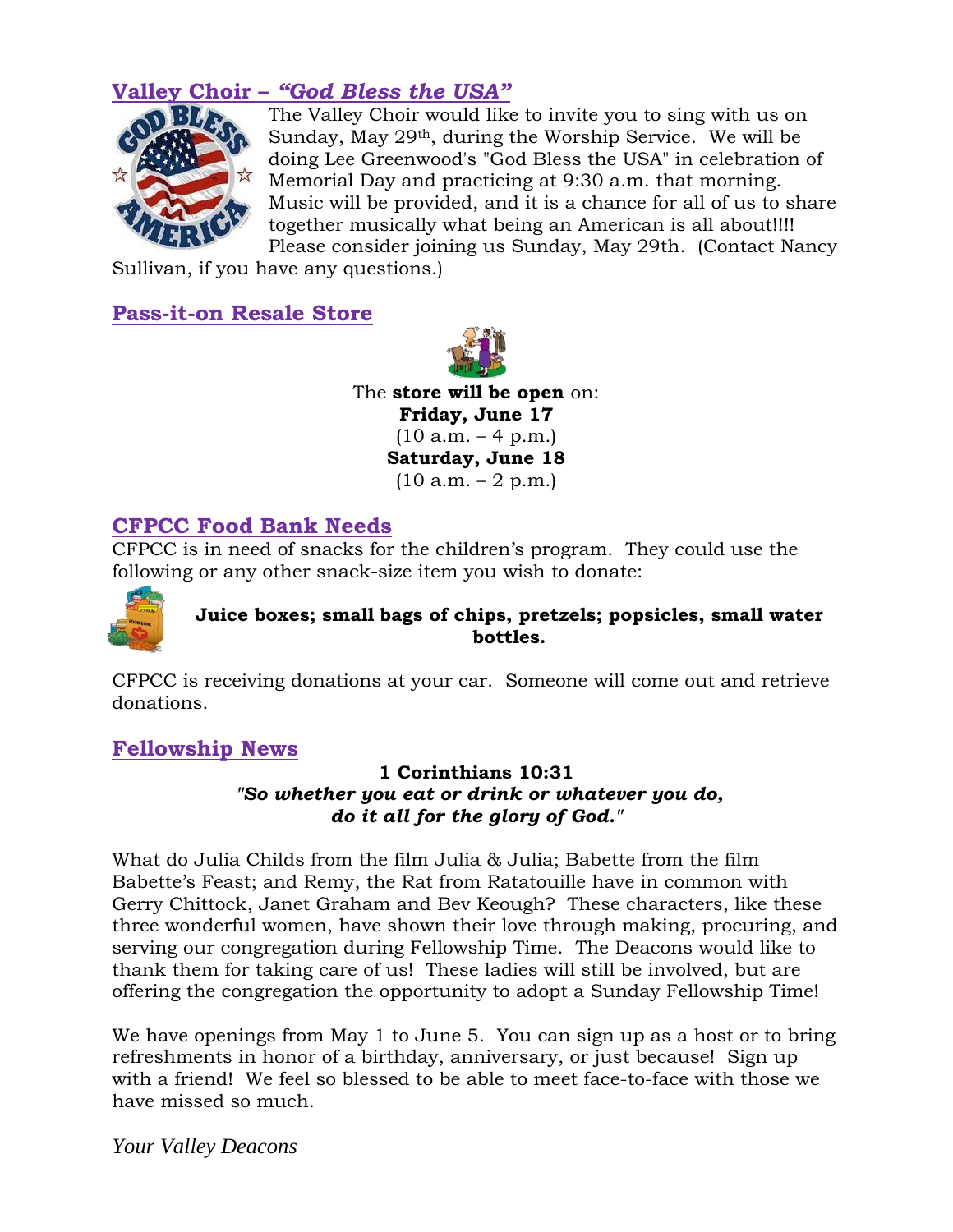# **Valley Choir –** *"God Bless the USA"*



The Valley Choir would like to invite you to sing with us on Sunday, May 29th, during the Worship Service. We will be doing Lee Greenwood's "God Bless the USA" in celebration of Memorial Day and practicing at 9:30 a.m. that morning. Music will be provided, and it is a chance for all of us to share together musically what being an American is all about!!!! Please consider joining us Sunday, May 29th. (Contact Nancy

Sullivan, if you have any questions.)

# **Pass-it-on Resale Store**



The **store will be open** on: **Friday, June 17**  $(10 a.m. - 4 p.m.)$ **Saturday, June 18**  $(10 a.m. - 2 p.m.)$ 

# **CFPCC Food Bank Needs**

CFPCC is in need of snacks for the children's program. They could use the following or any other snack-size item you wish to donate:



# **Juice boxes; small bags of chips, pretzels; popsicles, small water bottles.**

CFPCC is receiving donations at your car. Someone will come out and retrieve donations.

# **Fellowship News**

# **1 Corinthians 10:31** *"So whether you eat or drink or whatever you do, do it all for the glory of God."*

What do Julia Childs from the film Julia & Julia; Babette from the film Babette's Feast; and Remy, the Rat from Ratatouille have in common with Gerry Chittock, Janet Graham and Bev Keough? These characters, like these three wonderful women, have shown their love through making, procuring, and serving our congregation during Fellowship Time. The Deacons would like to thank them for taking care of us! These ladies will still be involved, but are offering the congregation the opportunity to adopt a Sunday Fellowship Time!

We have openings from May 1 to June 5. You can sign up as a host or to bring refreshments in honor of a birthday, anniversary, or just because! Sign up with a friend! We feel so blessed to be able to meet face-to-face with those we have missed so much.

*Your Valley Deacons*